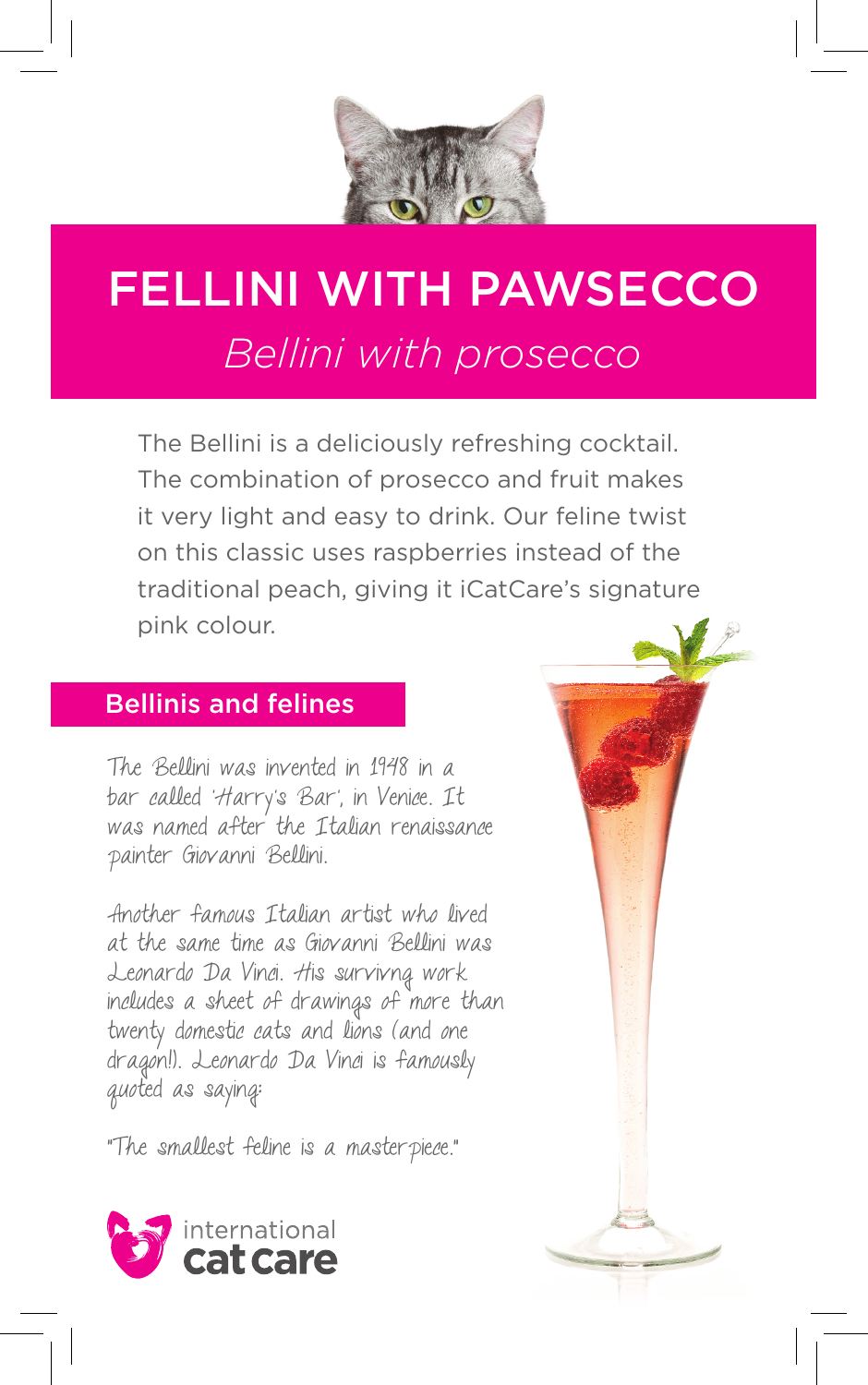

## FELLINI WITH PAWSECCO *Bellini with prosecco*

The Bellini is a deliciously refreshing cocktail. The combination of prosecco and fruit makes it very light and easy to drink. Our feline twist on this classic uses raspberries instead of the traditional peach, giving it iCatCare's signature pink colour.

#### Bellinis and felines

The Bellini was invented in 1948 in a bar called 'Harry's Bar', in Venice. It was named after the Italian renaissance painter Giovanni Bellini.

Another famous Italian artist who lived at the same time as Giovanni Bellini was Leonardo Da Vinci. His survivng work includes a sheet of drawings of more than twenty domestic cats and lions (and one dragon!). Leonardo Da Vinci is famously quoted as saying:

"The smallest feline is a masterpiece."